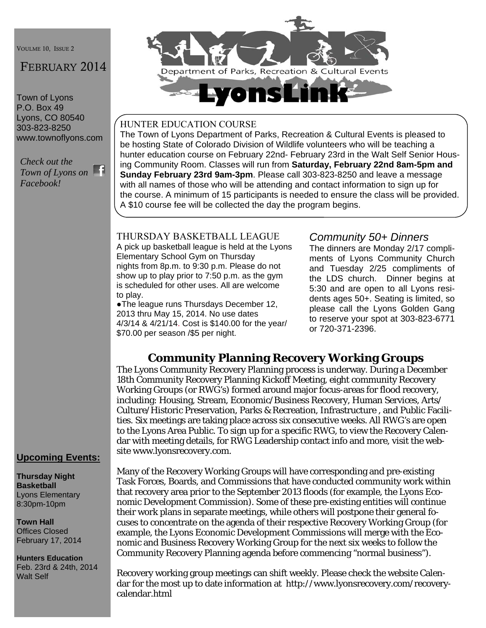VOULME 10, ISSUE 2

# FEBRUARY 2014

Town of Lyons P.O. Box 49 Lyons, CO 80540 303-823-8250 www.townoflyons.com

*Check out the Town of Lyons on Facebook!* 



#### HUNTER EDUCATION COURSE

The Town of Lyons Department of Parks, Recreation & Cultural Events is pleased to be hosting State of Colorado Division of Wildlife volunteers who will be teaching a hunter education course on February 22nd- February 23rd in the Walt Self Senior Housing Community Room. Classes will run from **Saturday, February 22nd 8am-5pm and Sunday February 23rd 9am-3pm**. Please call 303-823-8250 and leave a message with all names of those who will be attending and contact information to sign up for the course. A minimum of 15 participants is needed to ensure the class will be provided. A \$10 course fee will be collected the day the program begins.

### THURSDAY BASKETBALL LEAGUE

A pick up basketball league is held at the Lyons Elementary School Gym on Thursday nights from 8p.m. to 9:30 p.m. Please do not show up to play prior to 7:50 p.m. as the gym is scheduled for other uses. All are welcome to play.

●The league runs Thursdays December 12, 2013 thru May 15, 2014. No use dates 4/3/14 & 4/21/14. Cost is \$140.00 for the year/ \$70.00 per season /\$5 per night.

### *Community 50+ Dinners*

The dinners are Monday 2/17 compliments of Lyons Community Church and Tuesday 2/25 compliments of the LDS church. Dinner begins at 5:30 and are open to all Lyons residents ages 50+. Seating is limited, so please call the Lyons Golden Gang to reserve your spot at 303-823-6771 or 720-371-2396.

## **Community Planning Recovery Working Groups**

The Lyons Community Recovery Planning process is underway. During a December 18th Community Recovery Planning Kickoff Meeting, eight community Recovery Working Groups (or RWG's) formed around major focus-areas for flood recovery, including: Housing, Stream, Economic/Business Recovery, Human Services, Arts/ Culture/Historic Preservation, Parks & Recreation, Infrastructure , and Public Facilities. Six meetings are taking place across six consecutive weeks. All RWG's are open to the Lyons Area Public. To sign up for a specific RWG, to view the Recovery Calendar with meeting details, for RWG Leadership contact info and more, visit the website www.lyonsrecovery.com.

#### **Upcoming Events:**

**Thursday Night Basketball**  Lyons Elementary 8:30pm-10pm

**Town Hall**  Offices Closed February 17, 2014

**Hunters Education**  Feb. 23rd & 24th, 2014 Walt Self

Many of the Recovery Working Groups will have corresponding and pre-existing Task Forces, Boards, and Commissions that have conducted community work within that recovery area prior to the September 2013 floods (for example, the Lyons Economic Development Commission). Some of these pre-existing entities will continue their work plans in separate meetings, while others will postpone their general focuses to concentrate on the agenda of their respective Recovery Working Group (for example, the Lyons Economic Development Commissions will merge with the Economic and Business Recovery Working Group for the next six weeks to follow the Community Recovery Planning agenda before commencing "normal business").

Recovery working group meetings can shift weekly. Please check the website Calendar for the most up to date information at http://www.lyonsrecovery.com/recoverycalendar.html